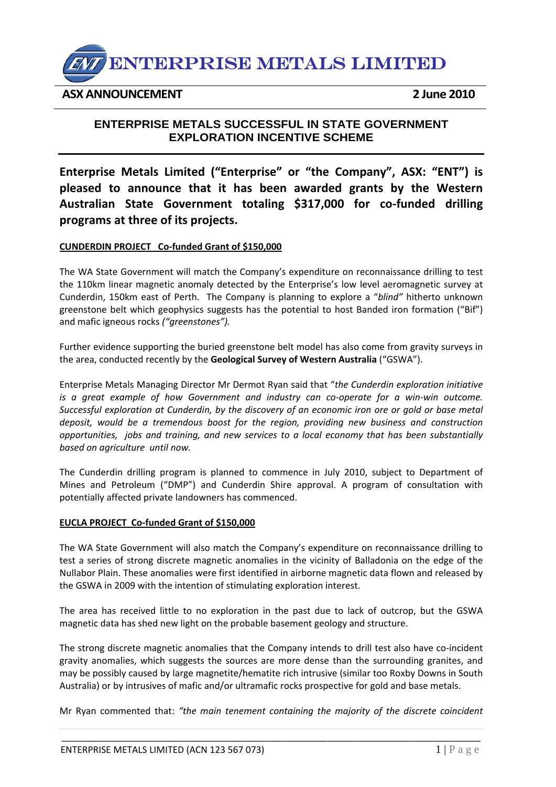

## **ASX ANNOUNCEMENT 2 June 2010**

# **ENTERPRISE METALS SUCCESSFUL IN STATE GOVERNMENT EXPLORATION INCENTIVE SCHEME**

**Enterprise Metals Limited ("Enterprise" or "the Company", ASX: "ENT") is pleased to announce that it has been awarded grants by the Western Australian State Government totaling \$317,000 for co‐funded drilling programs at three of its projects.** 

## **CUNDERDIN PROJECT Co‐funded Grant of \$150,000**

The WA State Government will match the Company's expenditure on reconnaissance drilling to test the 110km linear magnetic anomaly detected by the Enterprise's low level aeromagnetic survey at Cunderdin, 150km east of Perth. The Company is planning to explore a "*blind"* hitherto unknown greenstone belt which geophysics suggests has the potential to host Banded iron formation ("Bif") and mafic igneous rocks *("greenstones").*

Further evidence supporting the buried greenstone belt model has also come from gravity surveys in the area, conducted recently by the **Geological Survey of Western Australia** ("GSWA").

Enterprise Metals Managing Director Mr Dermot Ryan said that "*the Cunderdin exploration initiative is a great example of how Government and industry can co‐operate for a win‐win outcome. Successful exploration at Cunderdin, by the discovery of an economic iron ore or gold or base metal deposit, would be a tremendous boost for the region, providing new business and construction opportunities, jobs and training, and new services to a local economy that has been substantially based on agriculture until now.* 

The Cunderdin drilling program is planned to commence in July 2010, subject to Department of Mines and Petroleum ("DMP") and Cunderdin Shire approval. A program of consultation with potentially affected private landowners has commenced.

#### **EUCLA PROJECT Co‐funded Grant of \$150,000**

The WA State Government will also match the Company's expenditure on reconnaissance drilling to test a series of strong discrete magnetic anomalies in the vicinity of Balladonia on the edge of the Nullabor Plain. These anomalies were first identified in airborne magnetic data flown and released by the GSWA in 2009 with the intention of stimulating exploration interest.

The area has received little to no exploration in the past due to lack of outcrop, but the GSWA magnetic data has shed new light on the probable basement geology and structure.

The strong discrete magnetic anomalies that the Company intends to drill test also have co-incident gravity anomalies, which suggests the sources are more dense than the surrounding granites, and may be possibly caused by large magnetite/hematite rich intrusive (similar too Roxby Downs in South Australia) or by intrusives of mafic and/or ultramafic rocks prospective for gold and base metals.

Mr Ryan commented that: *"the main tenement containing the majority of the discrete coincident*

\_\_\_\_\_\_\_\_\_\_\_\_\_\_\_\_\_\_\_\_\_\_\_\_\_\_\_\_\_\_\_\_\_\_\_\_\_\_\_\_\_\_\_\_\_\_\_\_\_\_\_\_\_\_\_\_\_\_\_\_\_\_\_\_\_\_\_\_\_\_\_\_\_\_\_\_\_\_\_\_\_\_